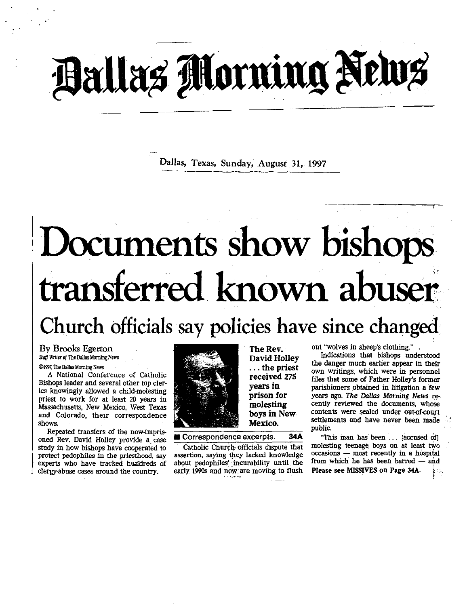# Ballas Morning News

Dallas, Texas, Sunday, August 31, 1997

# Documents show bishops transferred. known abuser

# Church officials say policies have since changed

## By Brooks Egerton

Staff Writer of The Dallas Morning News

### ®1997, The Dallas Morning News

A National Conference of Catholic Bishops leader and several other top clerics knowingly allowed a child-molesting priest to work for at least 20 years in Massachusetts, New Mexico, West Texas and Colorado, their correspondence shows.

Repeated transfers of the now-imprisoned Rev. David Holley provide a case study in how bishops have cooperated to protect pedophiles in the priesthood, say experts who have tracked hundreds of clergy-abuse cases around the country.



David Holley . . .the priest received 275 years in prison for molesting boys in New Mexico.

The Rev.

∎ Correspondence excerpts. 34A

Catholic Church officials dispute that assertion, saying they lacked knowledge about pedophiles',incurability until the early 1990s and now are moving to flush out "wolves in sheep's clothing.".

Indications that bishops understood the danger much earlier appear in their own writings, which were in personnel files that some of Father Holley's former parishioners obtained in litigation a few years ago. The Dallas Morning News recently reviewed the documents, whose contents were sealed under out-of-court settlements and have never been made public.

"This man has been . . [accused of] molesting teenage boys on at least two occasions - most recently in a hospital from which he has been barred  $-$  and Please see MISSIVES on Page 34A.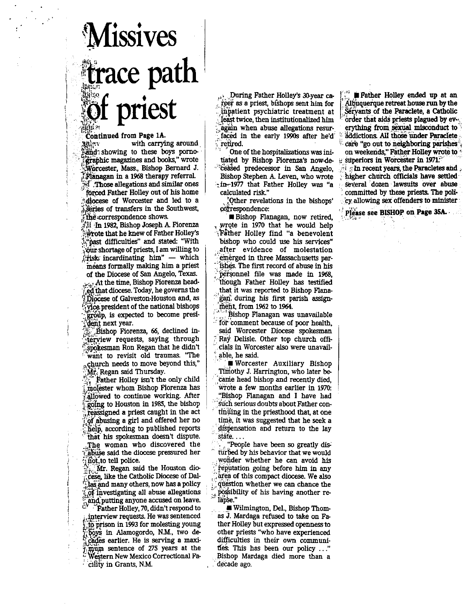# Missives  $\parallel$  trace paul I priest i **Missives**<br>**trace path**<br>**of priest**<br>Continued from Page 1A.<br>Reference of the carrying around

 

Continued from Page 1A.<br>digital with carrying around **Tife** and showing to these boys pornogiaphic magazines and books," wrote ihorcester, Mass., Bishop Bernard J. Flanagan in a 1968 therapy referral. ,Those allegations and similar ones forced Father Holley out of his home diocese of Worcester and led to a  $\frac{1}{2}$  series of transfers in the Southwest, the correspondence shows.

li 'In 1982, Bishop Joseph A. Fiorenza ;\*rote that he knew of Father Holley's "past difficulties" and stated: "With ;bur shortage of priests, I am willing to  $f$ risk incardinating him" - which means formally making him a priest of the Diocese of San Angelo, Texas. a.;At the time, Bishop Fiorenza headed that diocese. Today, he governs the Diocese of Galveston-Houston and, as r jice president of the national bishops group, is expected to become president next year.

is Bishop Fiorenza, 66, declined interview requests, saying through spokesman Ron Regan that he didn't want to revisit old traumas. "The church needs to move beyond this," Mr. Regan said Thursday.

Father Holley isn't the only child molester whom Bishop Fiorenza has allowed to continue working. After j, going to Houston in 1985, the bishop reassigned a priest caught in the act of abusing a girl and offered her no help, according to published reports that his spokesman doesn't dispute. The woman who discovered the abuse said the diocese pressured her inot, to tell police.

 $Mr.$  Regan said the Houston diocese, like the Catholic Diocese of Dal-Flaa snd many others, now has a policy get investigating all abuse allegations and putting anyone accused on leave.

"Father Holley, 70, didn't respond to interview requests . He was sentenced to prison in 1993 for molesting young boys in Alamogordo, N.M., two decades earlier. He is serving a maximum sentence of 275 years at the Western New Mexico Correctional Facility in Grants, N.M.

. During Father Holley's 30-year career as a priest, bishops sent him for inpatient psychiatric treatment at least twice, then institutionalized him ,again when abuse allegations recurfaced in the early 1990s after he'd' retired

One of the hospitalizations was initiated by Bishop Fiorenza's now-de. "EeAsed predecessor in San Angelo, Bishop Stephen A. Leven, who wrote th-1977 that Father Holley was "a calculated risk"

;Other revelations in the bishops' dotrespondence :

∎ Bishop Flanagan, now retired, wrote in 1970 that he would help ,'gather Holley find "a benevolent bishop who could use his services" .after evidence of molestation emerged in three Massachusetts par ishes. The first record of abuse in his personnel file was made in 1968, though Father Holley has testified that it was reported to Bishop Flanagan, during his first parish assign ment, from 1962 to 1964.

Bishop Flanagan was unavailable for comment because of poor health, said Worcester Diocese spokesman Ray Delisle . Other top church officials in Worcester also were unavailable, he said .

∎ Worcester Auxiliary Bishop Timothy J. Harrington, who later became head bishop and recently died, 'wrote a few months earlier in 1970: "Bishop Flanagan and I have had such serious doubts about Father continiing in the priesthood that, at one time, it was suggested that he seek a dispensation and return to the lay state. . . .

"People have been so greatly disturbed by his behavior that we would wonder whether he can avoid his reputation going before him in any area of this compact diocese. We also question whether we can chance the : possibility of his having another relap§e."

Å.

∎ Wilmington, Del., Bishop Thomas J. Mardaga refused to take on Father Holley but expressed openness to other priests "who have experienced difficulties in their own communities: This has been our policy . . ." Bishop Mardaga died more than a decade ago.

**Example Father Holley ended up at an** Albuquerque retreat house run by the Servants of the Paraclete, a Catholic order that aids priests plagued by everything from sexual misconduct to addictions. All those under Paraclete care "go out to neighboring parishes", on weekends," Father Holley wrote to r superiors in Worcester in 1971 :'

 $i$   $i$  in recent years, the Paracletes and  $i$ higher church officials have settled several dozen lawsuits over abuse committed by these priests. The poll $cy$  allowing sex offenders to minister  $xy$ 

Please see BISHOP on Page 35A.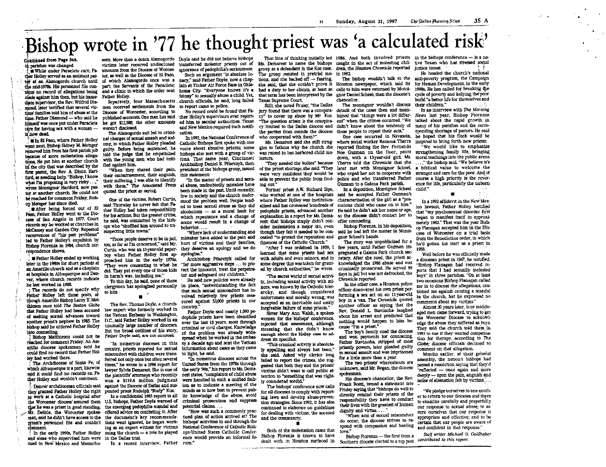# Bishop wrote in '77 he thought priest was 'a calculated risk'

Continued from Page 34A. in parishes was changed.

While under Paraclete care. Father Holley served as an assistant nas-ter, as well as the Diocese of El Paso. ter at an Alamogordo church until made against him then, but his immediate supervisor, the Rev. Wilfrid Diamond, later testified that several victime families told him of abuse at the time. Father Diamond - who said he care for having sex with a woman is now dead.

In In El Paso, where Father Holley went next. Bishop Sidney M. Metzger removed him from his first parish job because of more molestation allegations. He put him at another church in the city that was described by the first pastor, the Rev. A. Dixon Hartford, as needing help. "Bishop, I know what I'm proposing is very risky ..." wrote Monsignor Hartford, now pastor at another church. He could not he reached for comment Friday, Bishop Metzger has since died.

After being forced out of El Paso Father Holley went to the Diocese of San Angelo in 1977. Court records say he worked at churches in McCamey and Garden City. Repeated recurrences of "his past problems" ted to Father Holley's expulsion by Bishop Fiorenza in 1984, church correspondence shows.

Father Holley ended up working later in the 1980s for short periods at an Amarillo church and as a chaplain at hospitals in Albuquerque and Denver, where church records indicate he last worked in 1988.

The records do not specify why Father Holley left those posts. although Amarillo Bishop Leroy T. Matthiesen once told The Boston Globe that Father Holley had been accused of making sexual advances toward another priest's nephew in 1985. The bishop said he ordered Father Holley into counseling.

Bishop Matthiesen could not be reached for comment Friday. An Amarillo diocese spokesman said he could find no record that Father Hollev had worked there.

The Archdiocese of Santa Fe. of which Albuquerque is a part, likewise said it could find no records on Father Holley and wouldn't comment.

Denver archdiocesan officials said they granted Father Holley the right pended priest Rudolph "Rudy" Kos. to work at a Catholic hospital after the Worcester diocese assured them U.S. bishops. Father Doyle warned of that he was a priest in good standing. the emerging pedophilia scandal and Mr. Delisle, the Worcester spokes offered advice on combating it. After man, said he didn't have access to the the document's key recommendapriest's personnel file and couldn't tions went ignored, he began workcomment.

In the early 1990s, Father Holley and some who supervised him were in the Dallas trial. sued in New Mexico and Massachu-

setts. More than a dozen Alamogordo Dovle said he did not believe bishops amounts from the Diocese of Worces-ignorance of nedophilia's seriousness. of which Alamogordo once was a nacy." said Father Dovie, now a chap- tions, and she backed off -- fearing. the mid-1970s. His personnel file con- part: the Servants of the Paraclete: lain at Tinker Air Force Base in Okla-**Father Holley** 

> men received settlements from the to report cases to police. Diocese of Worcester, according to weren't disclosed. The Alamogordo suit led to crimi- cation.

nal charges of sexual assault and sodomy, to which Father Holley pleaded Catholic Bishops first spoke with one fied against him.

their embarrassment their anguish. their suffering. I was able to identify with them," The Associated Press quoted the priest as saying.

One of the victims, Robert Curtis, said Thursday he never felt that Father Holley had taken responsibility for his actions. But the greater crime, he said, was committed by the bishons who "shuffled him around to unsuspecting little towns."

"Those people deserve to be in jail. too, as far as I'm concerned," said Mr. Curtis, who was an 11-year-old paperboy when Father Holley first ap- apologize." proached him in the early 1970s. They were consenting to what he did. They put every one of those kids

in harm's way, including me." To this day, he said, none of those clergymen has apologized personally to him.

The Rev. Thomas Doyle, a churchlaw expert who formerly worked in the Vatican Embassy in Washington, D.C., said Father Holley worked in an unusually large number of dioceses. But the broad outlines of his story, Father Doyle said, are not unusual.

country, priests reported for sexual misconduct with children were trans- to light, he said. ferred not only once but often several times," he wrote in a 1996 report for lawyer Sylvia Demarest. She is one of the plaintiffs' attorneys who recently won a \$119.6 million judgment against the Diocese of Dallas and sus-

In a confidential 1985 report to all ing as an expert witness for victims suing the church - a role he played

In a recent interview, Father rum."

Such an argument "is absolute lu- The group resisted in pretrial mo- in 1992.

felony" to sexually abuse a child. Yet, that term has been interpreted by the enor Daniel Scheel, then the diocese's Senarately, four Massachusetts church officials, he said, long failed No record could be found that Fa-

published accounts. One man has said ther Holley's supervisors ever reporthimself was once put under Paraclete he got \$12,500: the other amounts ed him to secular authorities. Texas and New Mexico required such notifi-In 1992 the National Conference of

guilty. Before being sentenced, he voice about abusive priests: some told the judge that he empathized bishops also met with a group of vicwith the young men who had testi- tims. That same year, Cincinnati Archbishop Daniel E. Pilarczyk, then "When they shared their pain, president of the bishops group issued

this statement "In the matter of priests and sexual abuse, undoubtedly mistakes have ing out." been made in the past. Until recently, few in society and the church understood the problem well. People tended to treat sexual abuse as they did alcoholism - as a moral fault for which repentance and a change of scene would result in a change of hehavior "Where lack of understanding and

mistakes have added to the pain and burt of victims and their families. finances of the Catholic Church." they deserve an apology and we do

Archbishop Pilarczyk called for tor and safeguard our children."

He said new policies were already in place, "notwithstanding the fact that such sexual misconduct has involved relatively few priests measured against 53,000 priests in our country.

Father Doyle said nearly 1,000 pedophile priests have been identified over the last 15 years, most through criminal or civil charges. Knowledge of the problem was already widespread when he worked in the embas-"In numerous dioceses in this' sy a decade ago and sent the Vatican

information about cases as they came "In numerous dioceses across the United States from the 1970s through the early '90s," his report to Ms. Demarest states, "complaints of child abuse were handled in such a unified fashion as to indicate a meeting of the minds as to how best to prevent public knowledge of the abuse, avoid criminal prosecution and suppress

potential claims.... "How was such a commonly practiced plan of action arrived at? The bishops' activities in and through the National Conference of Catholic Bish-

ops/United States Catholic Conference would provide an informal fo-

That line of thinking initially led 1986. And both involved priests in the bishops conference  $-$  is a navictims later received undisclosed transferred molester priests out of Ms. Demarest to name the bishops caught in the act of molesting chil- tive Texan who has stressed social group as a defendant in the Kos case. dren, the Houston Chronicle reported instice issues.

 $\mathbf{H}$ 

she said, that she couldn't prove it Texas Supreme Court

Still, she noted Friday. "the Dallas the parties from outside the diocese these people to repeat their acts." who cooperated with them?"

Ms. Demarest said she still struglecters

Former priest A.W. Richard Sine. alized and has counseled hundreds of explanation in a report for Ms. Demarest: that bishops simply didn't consider molestation a major sin, even cealed "to protect the reputation and

"After I was ordained in 1959. I learned that some priests had sex tect the innocent, treat the perpetra-ed by church authorities," he wrote.

"The secret world of sexual activity, including sexual activity with minors, was known by the Catholic hierarchy, and though considered unfortunate and morally wrong, was accepted as an inevitable and easily forgivable failure of some priests."

Sister Mary Ann Walsh, a spokeswoman for the bishops' conference. rejected that assessment, although stressing that she didn't know enough about the Holley case to address its specifics.

"This criminal activity is absolutely appelling and always has been," she said. Asked why clerics long failed to report the crimes, she suggested that both they and the priests' victims didn't want to call public attention to "something that was rightlv considered sordid."

The bishops' conference now calls for all dioceses to comply with reporting laws and develop abuse-prevention strategies. Since 1992, it has also continued to elaborate on guidelines for dealing with victims, the accused and the community.

Both of the molestation cases that Bishop Fiorenza is known to have

The bishop wouldn't talk to the Houston newspaper, which said its for Human Development, in the early thins no record of allegations being and a clinic to which the order sent homa City. "Everyone knows it's a had a duty to her clients, at least as calls to him were returned by Monsi- 1990s. He has called for breaking the chancellor.

The monsionar wouldn't discuss hury found that there was a conspira- details of the cases then and mainey" to cover un abuse by Mr. Kos, tained that "things were a lot differ- News last year. Bishop Fiorenza "The question arises is the conspiration and when the crimes occurred. "We cy limited to the Dallas diocese and didn't know about the tendency of

where social worker Ramona Ybarra inspired to bring forth new priests. gles to fathom why the church she reported finding the Rev. Fernando able to prevent the public from find- police and who transferred Father course a high priority is the rever-Gúzman to a Galena Park parish.

In a deposition, Monsignor Scheel child." who worked at one of the hospitals said he accepted Father Guzman's where Father Holley was institution-characterization of the cirl as a "precoclous child who came on to him." bedophile priests, advanced another He said he didn't ask her name or age, so the diocese didn't contact her to offer counseling.

Bishop Fiorenza, in his deposition, though they felt it needed to be con-said he had left the matter in Monsignor Scheel's hands.

The story was unpublicized for a few years, until Father Guzman impregnated a Galena Park church secwith adults and even minors, and to retary. After she sued, the priest ac-"far more aggressive steps . . . to pro- some degree this was taken for grant- knowledged the 1986 abuse and was criminally prosecuted. He served 90 days in jail but was not defrocked, the Chronicle reported.

In the other case, a Houston police officer discovered his own priest performing a sex act on an 11-year-old boy in a van. The Chronicle quoted another officer as saving that the Rev. Donald L. Stavinoha laughed about his arrest and predicted that nothing would happen to him because Tm a priest.

The boy's family sued the diocese and won payments for counseling Father Stavinoha, stripped of most priestly powers, later pleaded guilty to sexual assault and was imprisoned for a little more than a year.

The two priests' whereabouts are unknown, said Mr. Regan, the diocese spokesman.

His diocese's chancellor, the Rev. Frank Rossi, issued a statement late Friday saying that "bishops do well to directly remind their priests of the responsibility they have to conduct their lives with the greatest of human dignity and virtue...

When acts of sexual misconduct do occur, the diocese strives to respond with compassion and healing love

Bishop Fiorenza - the first from a dealt with in Houston surfaced in Southern diocese elected to a top post contributed to this report.

He headed the church's national anti-poverty program, the Campaign cycle of poverty and helping the poor build "a better life for themselves and their children."

In an interview with The Morning talked shout the ranid growth in many of his parishes and the corresponding shortage of pastors. He said One case occurred in Navasota. he hoped that his flock would be "We would like to emphasize was raised in has harbored child mo- Noe Guzman on the floor, pants strengthening family life, bringing down, with a 13-year-old girl. Ms. moral teachings into the public arena "They needed the bodies" because Ybarra told the Chronicle that she ...." the hishon said. "We believe it's of the priest shortage, she said. "They later met with Monsignor Scheel, a biblical value to welcome the were very confident they would be who ureed her not to cooperate with stranger and care for the poor. And of ence for life, particularly the unborn

> In a 1993 affidavit in the New Mexico lawsuit Father Holley testified that "my psychosexual disorder first began to manifest itself in approximately 1962." That was the year Bishon Flanagan accepted him in the Diocese of Worcester on a trial basis from the Benedictine order, in which he'd gotten his start as a priest in 1058

 $\epsilon \ll \rho$ 

Well before he was officially made a diocesan priest in 1967, he testified. "Bishop Flanagan had received reports that I had sexually molested .<br>bovs" in three parishes. "On at least two occasions Bishop Flanagan called me in to discuss the allegations, cautioned me against causing a scandal in the church, but he expressed no comments about my victims."

Almost 30 years later, four middleaged men came forward, trying to get the Worcester Diocese to acknowledge the abuse they suffered as bovs. They said the church told them in 1993 to sue if they wanted compensation for therapy, according to The Globe: diocese officials declined to comment on that allegation.

Months earlier, at their general assembly, the nation's bishops had passed a resolution saving that they'd "reflected - once again and more deeply --- upon the pain, anguish and sense of alienation felt by victims....

'We pledge ourselves to one another to return to our dioceses and there to examine carefully and prayerfully our response to sexual abuse; to assure ourselves that our response is appropriate and effective; and to be certain that our people are aware of and confident in that response."

Staff writer Michael D. Goldhaber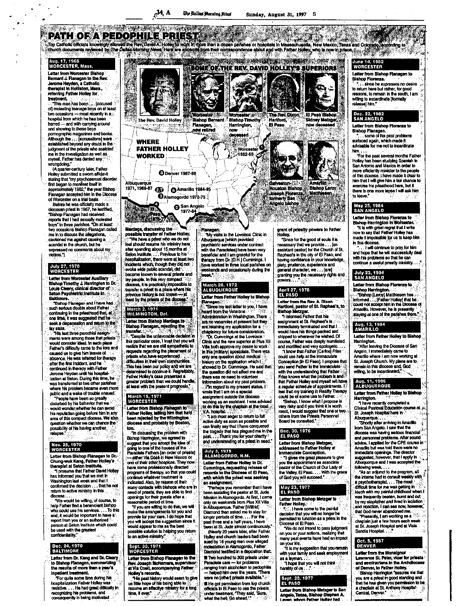Sunday, August 31, 1997 S

**The Rev. Oixon**<br>Hartford,

aton (21-3

Joseph Florenz

Angelo bishop

**Houston Bishop Blahop Leroy** 

El Paso

فالدلاة

PATH OF A PEDOPHILE PRIEST<br>Top Catholic officials from the form of the Catalog Holder to the computation of the computation of hospitals in Massachusetts, New Mexico, Texas and Colorado Economy to<br>Church documents reviewed **ARCHARDED TOP** June 14, 1982<br>WORCESTER **THE STARK IN** Aug. 17, 1968<br>WORCESTER, Mass. **Sea ME OF THE REV. DAVID HOLLEY'S SUPERIORS** Letter from Worcester Blehop Letter from Bishop Flanagan to Bernard J. Flanagan to the Rey."<br>Jerome Hayden, a Catholic Bishop Florenza. plet in Holli ri, Masé., referring Father Holley for treatm

"This man has been... Taccused of molesting teenage boys on at least<br>two occasions --- most recently in a hospital from which he has bee barred - and with carrying around and showing to these boys pomographic magazines and books. Although the . . . [accusations] were established beyond any doubt in the judgment of the priests who assisted<br>me in the investigation as well as nyself, Father has denied any wronadoina.

(A quarter-century later, Father<br>Holley submitted a sworn affidavit stating that "my psychosexual disorder<br>first began to manifest itself in<br>approximately 1962," the year Bishop<br>Flanagan accepted him in the Diocese of Worcester on a trial basis.<br>Before he was officially made a

diocesan priest in 1967, he lestified. "Bishop Flanagan had received reports that I had sexually molested<br>boys" in three parishes. "On at least two occasions Bishop Flanagan called me in to discuss the allegations, cautioned me against causing a<br>scandal in the church, but he expressed no comments about myvictims.")

# July 27, 1970<br>WORCESTER

etter from Worcester Auxiliary Blahop Timothy J. Harrington to Dr.<br>Louis Cleary, clinical director of<br>Seton Psychiatric Institute in Baltim

Bishop Flanagan and I have had such sadous doubts about Father. continuing in the priesthood that, at one time, it was suggested that he<br>seek a dispensation and return to the

ments were among those that priests<br>would consider ideal. In each place<br>Father's difficulty came to the fore and caused us to give him leaves of absence. He was referred for therapy after the first incident, and he continued in therapy with Father<br>Jerome Hayden until his hospitalization at Seton. During this time, he<br>was transferred to two other parishes where his problem became even more public and a wake of trouble ensued.

"Pegole have been so greatly ed by his behavior that we would wonder whether he can avoid his reputation going before him in any<br>area of this compact diocese. We also ruestion whether we can chance the possibility of his having another. rolanse '

# Nov. 25, 1970<br>WORCESTER

Letter from Bishop Flänagan to Dr.<br>Chung-wek Kang, Fäther Holley's<br>therapist at Seton Institute.<br>"I presume that Father David Holley's

has informed you that we met in Washington last week and that I confirmed the decision . . . that he not<br>return to active ministry in this dinnasa

We would be willing, of course, to help Father find a benevolent bishop  $\overline{\phantom{a}}$ . To this who could use his services.... To this<br>end, it would be important to have a report from you or an authorized be used with the greatest confidentiality.  $\mathcal{L}^{\left( 1\right) }_{\alpha}$ 

# Dec. 24, 1970<br>BALTIMORE

Letter from Dr. Kang and Dr. Cleary to Blahop Flanagan, summarizing the results of more than a year's lant treatment.

"For quite some time during his hospitalization Father Holley was<br>resistive.... He had great difficulty in recognizing his problems, and consequently in being motivated



Mardaga, discussing the a transfer of Father Holley We have a priest who we do not leal should resume his ministry here after spending about 15 months at Selon Institute....... Previous to his incidents which, though they did not become known to several priests and lay people. In this very compact<br>diocese, it is practically impossible to<br>transfer a priest to a place where his evious history is not known — at<br>ast by the priests of the diocees.

# March 2, 1971<br>WILMINGTON, Def. Letter from Bishop Mardage to

Bishop Flanagan, rejecting the trana lar. S. Tiesnite the unfavorable decision in this particular case, I trust that you will<br>realize that we are still sympathetic to requests regarding the placement ment of difficulties in their own commu This has been our policy and we are<br>determined to continue it. Regrettably, Father Holley's case presented a<br>greater problem than we could handle<br>at least with the present prognosis.

# March 15, 1971<br>WORCESTER

Letter from Bishop Flanagan to<br>Father Holley, telling him that he'd<br>been rejected by the Wilmington diocese and probably by Boston, too.

"In discussing the problem with Bishop Harrington, we agreed to<br>suggest that you accept the Idea of<br>going to one of the houses of the<br>Paraclete Fathers [an order of priests] - alther Via Coeli in New Mexico o one of their other hospices. They now have some professionally directed programs of therapy, so that you could continue whatever treatment is indicated. Also, by reason of their<br>many contacts with bishops who are in need of priests, they are able to find

reasonable period of time "If you are willing to do this, we will make the arrangements for you and provide for your care. I do hope that<br>you will accept the suggestion since it<br>would appear to rite as the best possible solution to helping you return to an active ministry."

# Sept. 30, 1971<br>WORCESTER

Letter from Blahop Flamagen to the **Rev. Joseph McNamara, superviso**<br>at Via Coell, accompanying Father

the way in records,<br>
This past history would seem to give<br>
us little hope of his being able to a long<br>
resume an effective ministry for a long time, if ever." **All and State** 

"My visits to the Lovelace Clinic In Abuquerque [which provided<br>psychiatric services under contract with the Paracletes) have been very beneficial and I am grateful for the<br>therapy from Dr. [D.H.] Cummings. I<br>have worked in three local parishes on weekends and occasionally during the veek."

# March 28, 1972<br>ALBUQUERQUE

Letter from Father Holley to Blehop Flannann.

**Example:**<br>Since my last letter to you, I have<br>heard from the Veterans<br>Administration in Washington, There are no vacancies at present but they are retaining my application for a **Committee of the Lovelace of Committee of Committee Committee Committee Committee Committee Committee Committee**<br>Clinic and the new superior at Pius XII

Villa both approve my desire to work in the primary probably in the split medical<br>big the split medical intervalses in the split medical intervalses in the split medical intervalses in the question did not affect me and there was no need to volunteer<br>Information about my past proble

I'm regard to my present status, I wrote that I am on a speci assignment outside the diocese worlding as an assistant. I was advised<br>to do this by the chaptain at the local

active duty as soon as possible and<br>can finally say that I have conquered the tragedy that has plagued me in the<br>past....Thank you for your charity and understanding of a priest in need."

# July 3, 1975<br>ALAMOGORDO, N.M.

Letter from Father Holley to Dr. Cummings, requesting release of<br>records to the Diocese of El Paso, with which the priest was seeking<br>an assignment.

.<br>"Perhaps you remember that I have<br>len assisting the pastor at St. Jude Temaps you remember that I have<br>been assisting the pastor at St. Jude<br>Mission in Alamogordo. At first, I came<br>only on weekends from Pius XII Villa<br>in Albuquerque. Father [Wilfrid] Diamond then asked me to stay for longer periods of time.... For past three and a half years, I have<br>been at St. Jude almost continuously."<br>(Nearly 20 years later, after Father)

Holley and church leaders had been sued by 16 young men over alleged molestation in Alamogordo, Father<br>Diamond lestified in a deposition that: III Two hundred to 300 priests under Paradete care - for problems had him over the vears. There were no [other] pricets available." **El He got permission from top church**<br>officials in El Paso to use the priests under treatment. "They said, "Sure,<br>what the hell, Go ahead."

grant of priestly powers to Father Holley.

**Liatth** 

i. As

El Paso Bishop<br>Sidney Metzger

Amartile & P

"Since for the good of souls it is<br>necessary that we provide . . . [an assistant pastor) for the Church of St. Raphael's in the city of El Paso, and having confidence in your knowledge,<br>piety, prudence, experience and general character, we . . . [are]<br>granting you the necessary rights and

# **April 27, 1976<br>EL PASO**

Letter from the Rev. A. Dixon Hartford, pastor of St. Raphael's, to<br>Bishop Metzger.<br>"I informed Father that his

assignment at St. Rephael's is **inmediately terminated and that I**<br>would have his things packed and shipped to wherever he wished. Of course, Father was deeply humiliated and mortified and very apologetic.

I know that Father [Carlos] Frias could use help at the immaculate<br>Conception [in El Paso]. I propose that you send Father to the Immaculate  $\widehat{\otimes}$ with the understanding that Father. with the understanding that Pather.<br>Frias knows what the problem is and:<br>that Father Holley and myself will have<br>a regular schedule of appointments. If<br>feel that my training in Reality Therapy feel that my training in Reality Theories

"Bishop, I know what I propose is<br>very risky and if you think it is worth ment, I would suggest that one or two<br>others from the Priests Personnel Board be consulted."

# Dec. 30, 1976<br>EL PASO

Letter from Blahop Matzoes x Holley at

addressed to Father Holk<br>addressed to Father Holk 'n

pastor of the Church of Our Lady of the Valley, El Paso.... With the grace<br>of God you will succeed."

**EL PASO** Letter from Bishop Metzger to Father Holley.

decision that you will no longer be<br>permitted to lunction as a priest in the<br>Diocese of El Paso, . . .

"We do not intend to pass judgment on you or your actions, realizing that many past events have had an impact

on your life. it is my suggestion that you remain with your family and seek employment

as a layman. ...<br>"I hope that you will not think

harshly of us.

#### , 1977 Sept. 20,<br>EL PASO

Latter from Blehop Metzger to San Angelo, Texas, Bishop Stephen A.

Ance he expresses no desire to return here but rather, for good reasons, to remain in the south, I am illing to excardinate (formally release) him."

# **Dec. 22, 1982<br>SAN ANGELO**

Letter from Bishop Florenza to Bishop Flansgan.<br>"... some of his past problems..."

surfaced again, which made it<br>advisable for me not to incardinate

him....<br>"For the past several months Father"<br>"For the past several months in Holley has been studying Spanish in<br>San Antonio and Mexico in order to more efficiently minister to the people of this diocese. I have made it clear t him that I will give him a fair chance to<br>exercise his priesthood here, but if there is one more lapse I will ask him to leave."

# **May 25, 1984**<br>SAN ANGELO

Letter from Bishop Florenza to **Bishop Harrington in Word** 

"It is with great regret that I write<br>now to say that Father Holley has made it impossible for us to keep him in this diocese.

**I will continue to oray for him** and hope that he will successfully deal with his problems so that he can continue a useful priestly ministry....

# **July 23, 1984<br>SAN ANGELO**

Letter from Bishop Florenza to

**Bishop Harrington. Sumop narrington:**<br>andomed... (Father Holley) that he<br>andomed... (Father Holley) that he<br>could not accept him in the Diocese of<br>Amarillo. However, he is presently staying at one of the parishes there.

# Aug. 13, 1984<br>AMARILLO

Letter from Father Holley to Bishop Harrington.

"After leaving the Diocese of San Angelo, I immediately came to Amerillo where I am now working at St. Joseph Church. My plans are to remain in this diocase and. God willing, to be incardinated.

# Aug. 11, 1986<br>ALBUQUERQUE

Letter from Father Holley to Blehop Harrington.

"I have recently completed a<br>Clinical Pastoral Education course at  $\bar{w}$ . St. Joseph Hospital here in

Starting and any start and the distribution San Angelo. I saw that the<br>diccese was having serious financial<br>and personnel problems. After sound<br>advice, I applied for the CPE course in narillo but was told there were no immediate openings. The director suggested, however, that I apply in<br>Albuquerque and I was accepted the following week.

"As an adjunct to the program, all the interns had to consult weekly with psychotherapist...The most difficult time for me was getting in<br>touch with my painful childhood when I<br>was frequently beaten, burnt and cut by my stepfather and lived in isolation<br>and rejection. I can see now, however. and rejection. I can see now, how<br>that God never abandoned me.

"Presently, I am working as a at St. Joseph Hospital and at Vista<br>Sandia Hospital.

# Oct. 5, 1987<br>DENVER

Letter from the Monaignor<br>Lawrence St. Peter, vicar for priests and seminarians in the Archdiocese<br>of Denver, to Father Holley. Bishop Harrington "assures me that

you are a priest in good standing and that he has given you permission to be<br>a chaplain at St. Anthony Hospital

Central, Deriver.

A hospital.<br>"I am most sager to return to full